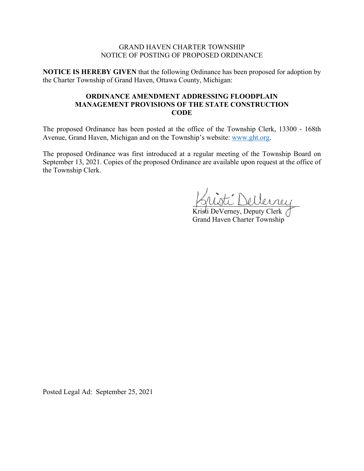#### GRAND HAVEN CHARTER TOWNSHIP NOTICE OF POSTING OF PROPOSED ORDINANCE

**NOTICE IS HEREBY GIVEN** that the following Ordinance has been proposed for adoption by the Charter Township of Grand Haven, Ottawa County, Michigan:

## **ORDINANCE AMENDMENT ADDRESSING FLOODPLAIN MANAGEMENT PROVISIONS OF THE STATE CONSTRUCTION CODE**

The proposed Ordinance has been posted at the office of the Township Clerk, 13300 - 168th Avenue, Grand Haven, Michigan and on the Township's website: [www.ght.org.](http://www.ght.org/)

The proposed Ordinance was first introduced at a regular meeting of the Township Board on September 13, 2021. Copies of the proposed Ordinance are available upon request at the office of the Township Clerk.

Kristi DeVerney, Deputy Clerk ( Grand Haven Charter Township

Posted Legal Ad: September 25, 2021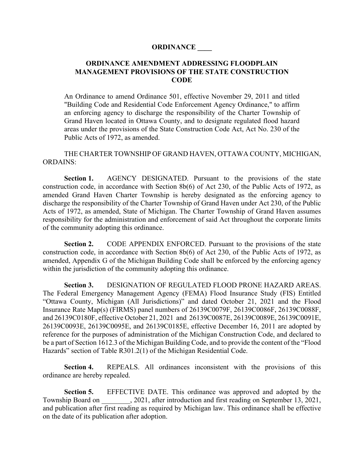#### **ORDINANCE \_\_\_\_**

## **ORDINANCE AMENDMENT ADDRESSING FLOODPLAIN MANAGEMENT PROVISIONS OF THE STATE CONSTRUCTION CODE**

An Ordinance to amend Ordinance 501, effective November 29, 2011 and titled "Building Code and Residential Code Enforcement Agency Ordinance," to affirm an enforcing agency to discharge the responsibility of the Charter Township of Grand Haven located in Ottawa County, and to designate regulated flood hazard areas under the provisions of the State Construction Code Act, Act No. 230 of the Public Acts of 1972, as amended.

THE CHARTER TOWNSHIP OF GRAND HAVEN, OTTAWA COUNTY, MICHIGAN, ORDAINS:

**Section 1.** AGENCY DESIGNATED. Pursuant to the provisions of the state construction code, in accordance with Section 8b(6) of Act 230, of the Public Acts of 1972, as amended Grand Haven Charter Township is hereby designated as the enforcing agency to discharge the responsibility of the Charter Township of Grand Haven under Act 230, of the Public Acts of 1972, as amended, State of Michigan. The Charter Township of Grand Haven assumes responsibility for the administration and enforcement of said Act throughout the corporate limits of the community adopting this ordinance.

**Section 2.** CODE APPENDIX ENFORCED. Pursuant to the provisions of the state construction code, in accordance with Section 8b(6) of Act 230, of the Public Acts of 1972, as amended, Appendix G of the Michigan Building Code shall be enforced by the enforcing agency within the jurisdiction of the community adopting this ordinance.

**Section 3.** DESIGNATION OF REGULATED FLOOD PRONE HAZARD AREAS. The Federal Emergency Management Agency (FEMA) Flood Insurance Study (FIS) Entitled "Ottawa County, Michigan (All Jurisdictions)" and dated October 21, 2021 and the Flood Insurance Rate Map(s) (FIRMS) panel numbers of 26139C0079F, 26139C0086F, 26139C0088F, and 26139C0180F, effective October 21, 2021 and 26139C0087E, 26139C0089E, 26139C0091E, 26139C0093E, 26139C0095E, and 26139C0185E, effective December 16, 2011 are adopted by reference for the purposes of administration of the Michigan Construction Code, and declared to be a part of Section 1612.3 of the Michigan Building Code, and to provide the content of the "Flood Hazards" section of Table R301.2(1) of the Michigan Residential Code.

**Section 4.** REPEALS. All ordinances inconsistent with the provisions of this ordinance are hereby repealed.

**Section 5.** EFFECTIVE DATE. This ordinance was approved and adopted by the Township Board on 2021, after introduction and first reading on September 13, 2021, and publication after first reading as required by Michigan law. This ordinance shall be effective on the date of its publication after adoption.